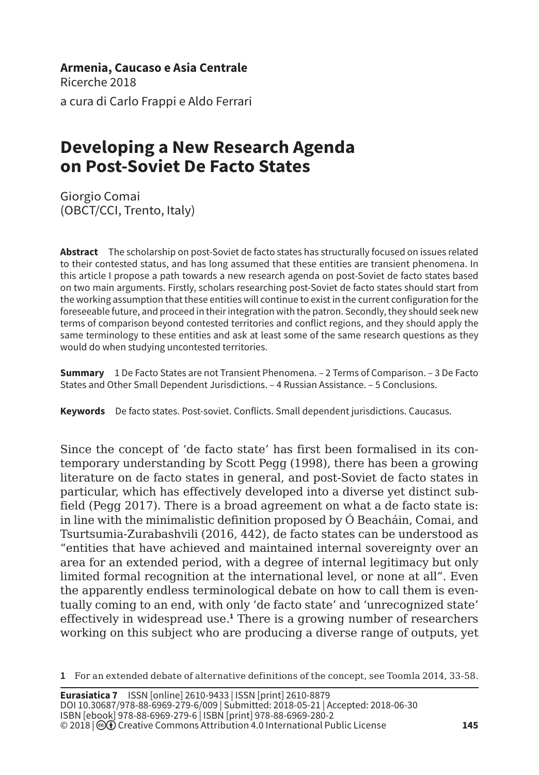**Armenia, Caucaso e Asia Centrale** Ricerche 2018 a cura di Carlo Frappi e Aldo Ferrari

# **Developing a New Research Agenda on Post-Soviet De Facto States**

Giorgio Comai (OBCT/CCI, Trento, Italy)

**Abstract** The scholarship on post-Soviet de facto states has structurally focused on issues related to their contested status, and has long assumed that these entities are transient phenomena. In this article I propose a path towards a new research agenda on post-Soviet de facto states based on two main arguments. Firstly, scholars researching post-Soviet de facto states should start from the working assumption that these entities will continue to exist in the current configuration for the foreseeable future, and proceed in their integration with the patron. Secondly, they should seek new terms of comparison beyond contested territories and conflict regions, and they should apply the same terminology to these entities and ask at least some of the same research questions as they would do when studying uncontested territories.

**Summary** 1 De Facto States are not Transient Phenomena. – 2 Terms of Comparison. – 3 De Facto States and Other Small Dependent Jurisdictions. – 4 Russian Assistance. – 5 Conclusions.

**Keywords** De facto states. Post-soviet. Conflicts. Small dependent jurisdictions. Caucasus.

Since the concept of 'de facto state' has first been formalised in its contemporary understanding by Scott Pegg (1998), there has been a growing literature on de facto states in general, and post-Soviet de facto states in particular, which has effectively developed into a diverse yet distinct subfield (Pegg 2017). There is a broad agreement on what a de facto state is: in line with the minimalistic definition proposed by Ó Beacháin, Comai, and Tsurtsumia-Zurabashvili (2016, 442), de facto states can be understood as "entities that have achieved and maintained internal sovereignty over an area for an extended period, with a degree of internal legitimacy but only limited formal recognition at the international level, or none at all". Even the apparently endless terminological debate on how to call them is eventually coming to an end, with only 'de facto state' and 'unrecognized state' effectively in widespread use.**<sup>1</sup>** There is a growing number of researchers working on this subject who are producing a diverse range of outputs, yet

**<sup>1</sup>** For an extended debate of alternative definitions of the concept, see Toomla 2014, 33-58.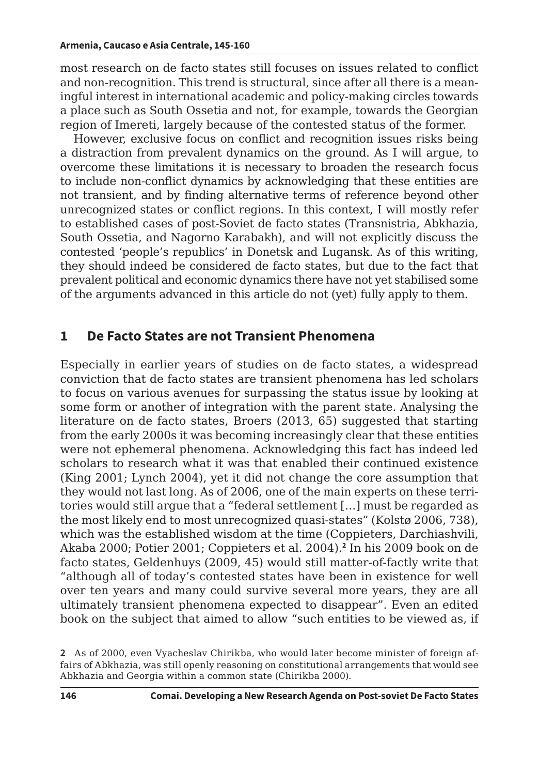most research on de facto states still focuses on issues related to conflict and non-recognition. This trend is structural, since after all there is a meaningful interest in international academic and policy-making circles towards a place such as South Ossetia and not, for example, towards the Georgian region of Imereti, largely because of the contested status of the former.

However, exclusive focus on conflict and recognition issues risks being a distraction from prevalent dynamics on the ground. As I will argue, to overcome these limitations it is necessary to broaden the research focus to include non-conflict dynamics by acknowledging that these entities are not transient, and by finding alternative terms of reference beyond other unrecognized states or conflict regions. In this context, I will mostly refer to established cases of post-Soviet de facto states (Transnistria, Abkhazia, South Ossetia, and Nagorno Karabakh), and will not explicitly discuss the contested 'people's republics' in Donetsk and Lugansk. As of this writing, they should indeed be considered de facto states, but due to the fact that prevalent political and economic dynamics there have not yet stabilised some of the arguments advanced in this article do not (yet) fully apply to them.

### **1 De Facto States are not Transient Phenomena**

Especially in earlier years of studies on de facto states, a widespread conviction that de facto states are transient phenomena has led scholars to focus on various avenues for surpassing the status issue by looking at some form or another of integration with the parent state. Analysing the literature on de facto states, Broers (2013, 65) suggested that starting from the early 2000s it was becoming increasingly clear that these entities were not ephemeral phenomena. Acknowledging this fact has indeed led scholars to research what it was that enabled their continued existence (King 2001; Lynch 2004), yet it did not change the core assumption that they would not last long. As of 2006, one of the main experts on these territories would still argue that a "federal settlement […] must be regarded as the most likely end to most unrecognized quasi-states" (Kolstø 2006, 738), which was the established wisdom at the time (Coppieters, Darchiashvili, Akaba 2000; Potier 2001; Coppieters et al. 2004).**<sup>2</sup>** In his 2009 book on de facto states, Geldenhuys (2009, 45) would still matter-of-factly write that "although all of today's contested states have been in existence for well over ten years and many could survive several more years, they are all ultimately transient phenomena expected to disappear". Even an edited book on the subject that aimed to allow "such entities to be viewed as, if

**<sup>2</sup>** As of 2000, even Vyacheslav Chirikba, who would later become minister of foreign affairs of Abkhazia, was still openly reasoning on constitutional arrangements that would see Abkhazia and Georgia within a common state (Chirikba 2000).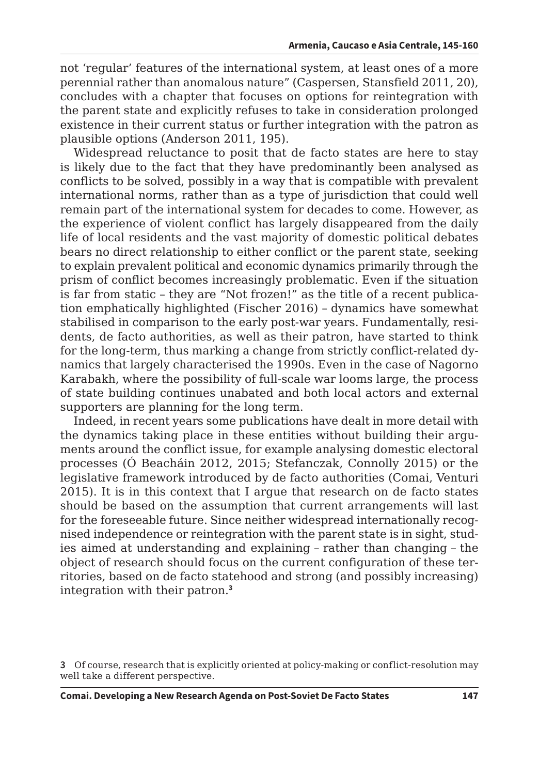not 'regular' features of the international system, at least ones of a more perennial rather than anomalous nature" (Caspersen, Stansfield 2011, 20), concludes with a chapter that focuses on options for reintegration with the parent state and explicitly refuses to take in consideration prolonged existence in their current status or further integration with the patron as plausible options (Anderson 2011, 195).

Widespread reluctance to posit that de facto states are here to stay is likely due to the fact that they have predominantly been analysed as conflicts to be solved, possibly in a way that is compatible with prevalent international norms, rather than as a type of jurisdiction that could well remain part of the international system for decades to come. However, as the experience of violent conflict has largely disappeared from the daily life of local residents and the vast majority of domestic political debates bears no direct relationship to either conflict or the parent state, seeking to explain prevalent political and economic dynamics primarily through the prism of conflict becomes increasingly problematic. Even if the situation is far from static – they are "Not frozen!" as the title of a recent publication emphatically highlighted (Fischer 2016) – dynamics have somewhat stabilised in comparison to the early post-war years. Fundamentally, residents, de facto authorities, as well as their patron, have started to think for the long-term, thus marking a change from strictly conflict-related dynamics that largely characterised the 1990s. Even in the case of Nagorno Karabakh, where the possibility of full-scale war looms large, the process of state building continues unabated and both local actors and external supporters are planning for the long term.

Indeed, in recent years some publications have dealt in more detail with the dynamics taking place in these entities without building their arguments around the conflict issue, for example analysing domestic electoral processes (Ó Beacháin 2012, 2015; Stefanczak, Connolly 2015) or the legislative framework introduced by de facto authorities (Comai, Venturi 2015). It is in this context that I argue that research on de facto states should be based on the assumption that current arrangements will last for the foreseeable future. Since neither widespread internationally recognised independence or reintegration with the parent state is in sight, studies aimed at understanding and explaining – rather than changing – the object of research should focus on the current configuration of these territories, based on de facto statehood and strong (and possibly increasing) integration with their patron.**<sup>3</sup>**

**<sup>3</sup>** Of course, research that is explicitly oriented at policy-making or conflict-resolution may well take a different perspective.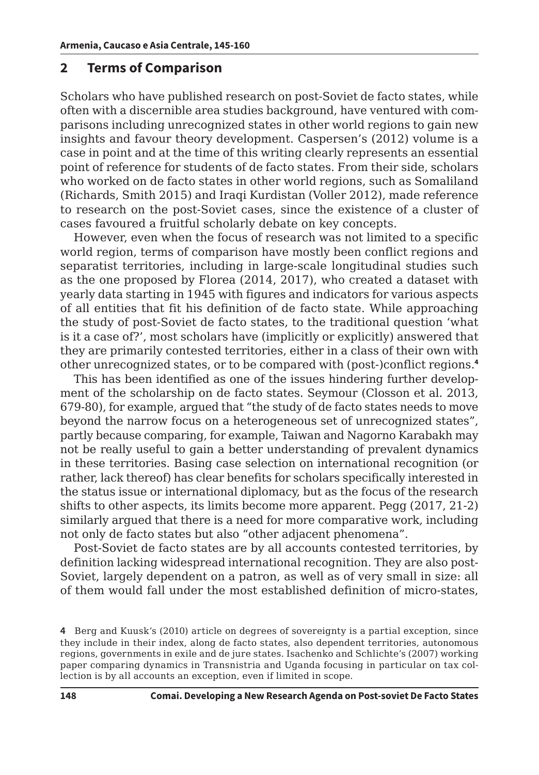#### **2 Terms of Comparison**

Scholars who have published research on post-Soviet de facto states, while often with a discernible area studies background, have ventured with comparisons including unrecognized states in other world regions to gain new insights and favour theory development. Caspersen's (2012) volume is a case in point and at the time of this writing clearly represents an essential point of reference for students of de facto states. From their side, scholars who worked on de facto states in other world regions, such as Somaliland (Richards, Smith 2015) and Iraqi Kurdistan (Voller 2012), made reference to research on the post-Soviet cases, since the existence of a cluster of cases favoured a fruitful scholarly debate on key concepts.

However, even when the focus of research was not limited to a specific world region, terms of comparison have mostly been conflict regions and separatist territories, including in large-scale longitudinal studies such as the one proposed by Florea (2014, 2017), who created a dataset with yearly data starting in 1945 with figures and indicators for various aspects of all entities that fit his definition of de facto state. While approaching the study of post-Soviet de facto states, to the traditional question 'what is it a case of?', most scholars have (implicitly or explicitly) answered that they are primarily contested territories, either in a class of their own with other unrecognized states, or to be compared with (post-)conflict regions.**<sup>4</sup>**

This has been identified as one of the issues hindering further development of the scholarship on de facto states. Seymour (Closson et al. 2013, 679-80), for example, argued that "the study of de facto states needs to move beyond the narrow focus on a heterogeneous set of unrecognized states", partly because comparing, for example, Taiwan and Nagorno Karabakh may not be really useful to gain a better understanding of prevalent dynamics in these territories. Basing case selection on international recognition (or rather, lack thereof) has clear benefits for scholars specifically interested in the status issue or international diplomacy, but as the focus of the research shifts to other aspects, its limits become more apparent. Pegg (2017, 21-2) similarly argued that there is a need for more comparative work, including not only de facto states but also "other adjacent phenomena".

Post-Soviet de facto states are by all accounts contested territories, by definition lacking widespread international recognition. They are also post-Soviet, largely dependent on a patron, as well as of very small in size: all of them would fall under the most established definition of micro-states,

**<sup>4</sup>** Berg and Kuusk's (2010) article on degrees of sovereignty is a partial exception, since they include in their index, along de facto states, also dependent territories, autonomous regions, governments in exile and de jure states. Isachenko and Schlichte's (2007) working paper comparing dynamics in Transnistria and Uganda focusing in particular on tax collection is by all accounts an exception, even if limited in scope.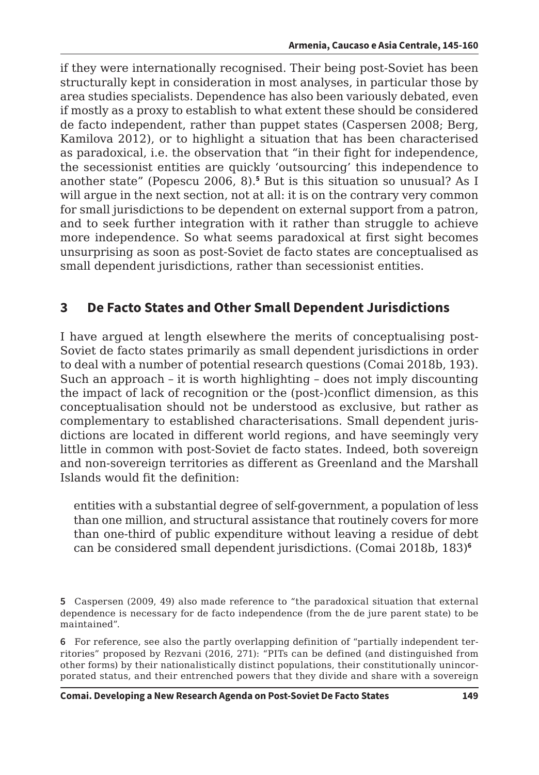if they were internationally recognised. Their being post-Soviet has been structurally kept in consideration in most analyses, in particular those by area studies specialists. Dependence has also been variously debated, even if mostly as a proxy to establish to what extent these should be considered de facto independent, rather than puppet states (Caspersen 2008; Berg, Kamilova 2012), or to highlight a situation that has been characterised as paradoxical, i.e. the observation that "in their fight for independence, the secessionist entities are quickly 'outsourcing' this independence to another state" (Popescu 2006, 8).**<sup>5</sup>** But is this situation so unusual? As I will argue in the next section, not at all: it is on the contrary very common for small jurisdictions to be dependent on external support from a patron, and to seek further integration with it rather than struggle to achieve more independence. So what seems paradoxical at first sight becomes unsurprising as soon as post-Soviet de facto states are conceptualised as small dependent jurisdictions, rather than secessionist entities.

# **3 De Facto States and Other Small Dependent Jurisdictions**

I have argued at length elsewhere the merits of conceptualising post-Soviet de facto states primarily as small dependent jurisdictions in order to deal with a number of potential research questions (Comai 2018b, 193). Such an approach – it is worth highlighting – does not imply discounting the impact of lack of recognition or the (post-)conflict dimension, as this conceptualisation should not be understood as exclusive, but rather as complementary to established characterisations. Small dependent jurisdictions are located in different world regions, and have seemingly very little in common with post-Soviet de facto states. Indeed, both sovereign and non-sovereign territories as different as Greenland and the Marshall Islands would fit the definition:

entities with a substantial degree of self-government, a population of less than one million, and structural assistance that routinely covers for more than one-third of public expenditure without leaving a residue of debt can be considered small dependent jurisdictions. (Comai 2018b, 183)**<sup>6</sup>**

**<sup>5</sup>** Caspersen (2009, 49) also made reference to "the paradoxical situation that external dependence is necessary for de facto independence (from the de jure parent state) to be maintained".

**<sup>6</sup>** For reference, see also the partly overlapping definition of "partially independent territories" proposed by Rezvani (2016, 271): "PITs can be defined (and distinguished from other forms) by their nationalistically distinct populations, their constitutionally unincorporated status, and their entrenched powers that they divide and share with a sovereign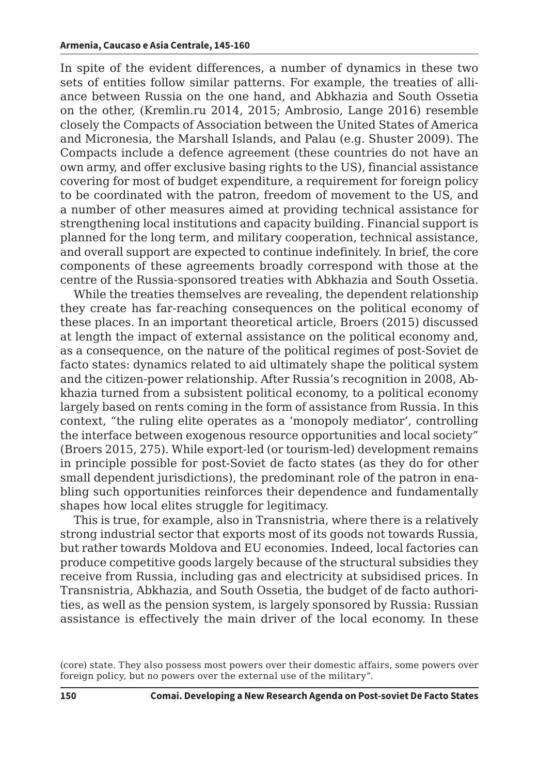In spite of the evident differences, a number of dynamics in these two sets of entities follow similar patterns. For example, the treaties of alliance between Russia on the one hand, and Abkhazia and South Ossetia on the other, (Kremlin.ru 2014, 2015; Ambrosio, Lange 2016) resemble closely the Compacts of Association between the United States of America and Micronesia, the Marshall Islands, and Palau (e.g. Shuster 2009). The Compacts include a defence agreement (these countries do not have an own army, and offer exclusive basing rights to the US), financial assistance covering for most of budget expenditure, a requirement for foreign policy to be coordinated with the patron, freedom of movement to the US, and a number of other measures aimed at providing technical assistance for strengthening local institutions and capacity building. Financial support is planned for the long term, and military cooperation, technical assistance, and overall support are expected to continue indefinitely. In brief, the core components of these agreements broadly correspond with those at the centre of the Russia-sponsored treaties with Abkhazia and South Ossetia.

While the treaties themselves are revealing, the dependent relationship they create has far-reaching consequences on the political economy of these places. In an important theoretical article, Broers (2015) discussed at length the impact of external assistance on the political economy and, as a consequence, on the nature of the political regimes of post-Soviet de facto states: dynamics related to aid ultimately shape the political system and the citizen-power relationship. After Russia's recognition in 2008, Abkhazia turned from a subsistent political economy, to a political economy largely based on rents coming in the form of assistance from Russia. In this context, "the ruling elite operates as a 'monopoly mediator', controlling the interface between exogenous resource opportunities and local society" (Broers 2015, 275). While export-led (or tourism-led) development remains in principle possible for post-Soviet de facto states (as they do for other small dependent jurisdictions), the predominant role of the patron in enabling such opportunities reinforces their dependence and fundamentally shapes how local elites struggle for legitimacy.

This is true, for example, also in Transnistria, where there is a relatively strong industrial sector that exports most of its goods not towards Russia, but rather towards Moldova and EU economies. Indeed, local factories can produce competitive goods largely because of the structural subsidies they receive from Russia, including gas and electricity at subsidised prices. In Transnistria, Abkhazia, and South Ossetia, the budget of de facto authorities, as well as the pension system, is largely sponsored by Russia: Russian assistance is effectively the main driver of the local economy. In these

<sup>(</sup>core) state. They also possess most powers over their domestic affairs, some powers over foreign policy, but no powers over the external use of the military".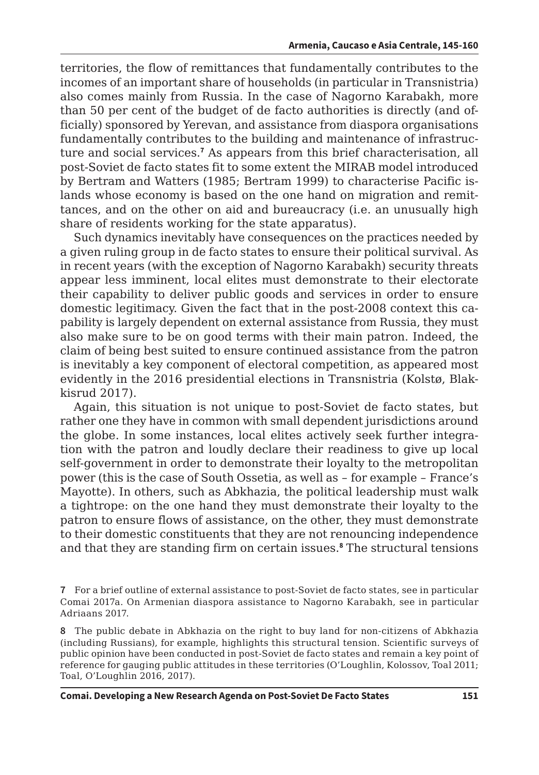territories, the flow of remittances that fundamentally contributes to the incomes of an important share of households (in particular in Transnistria) also comes mainly from Russia. In the case of Nagorno Karabakh, more than 50 per cent of the budget of de facto authorities is directly (and officially) sponsored by Yerevan, and assistance from diaspora organisations fundamentally contributes to the building and maintenance of infrastructure and social services.**<sup>7</sup>** As appears from this brief characterisation, all post-Soviet de facto states fit to some extent the MIRAB model introduced by Bertram and Watters (1985; Bertram 1999) to characterise Pacific islands whose economy is based on the one hand on migration and remittances, and on the other on aid and bureaucracy (i.e. an unusually high share of residents working for the state apparatus).

Such dynamics inevitably have consequences on the practices needed by a given ruling group in de facto states to ensure their political survival. As in recent years (with the exception of Nagorno Karabakh) security threats appear less imminent, local elites must demonstrate to their electorate their capability to deliver public goods and services in order to ensure domestic legitimacy. Given the fact that in the post-2008 context this capability is largely dependent on external assistance from Russia, they must also make sure to be on good terms with their main patron. Indeed, the claim of being best suited to ensure continued assistance from the patron is inevitably a key component of electoral competition, as appeared most evidently in the 2016 presidential elections in Transnistria (Kolstø, Blakkisrud 2017).

Again, this situation is not unique to post-Soviet de facto states, but rather one they have in common with small dependent jurisdictions around the globe. In some instances, local elites actively seek further integration with the patron and loudly declare their readiness to give up local self-government in order to demonstrate their loyalty to the metropolitan power (this is the case of South Ossetia, as well as – for example – France's Mayotte). In others, such as Abkhazia, the political leadership must walk a tightrope: on the one hand they must demonstrate their loyalty to the patron to ensure flows of assistance, on the other, they must demonstrate to their domestic constituents that they are not renouncing independence and that they are standing firm on certain issues.**<sup>8</sup>** The structural tensions

**<sup>7</sup>** For a brief outline of external assistance to post-Soviet de facto states, see in particular Comai 2017a. On Armenian diaspora assistance to Nagorno Karabakh, see in particular Adriaans 2017.

**<sup>8</sup>** The public debate in Abkhazia on the right to buy land for non-citizens of Abkhazia (including Russians), for example, highlights this structural tension. Scientific surveys of public opinion have been conducted in post-Soviet de facto states and remain a key point of reference for gauging public attitudes in these territories (O'Loughlin, Kolossov, Toal 2011; Toal, O'Loughlin 2016, 2017).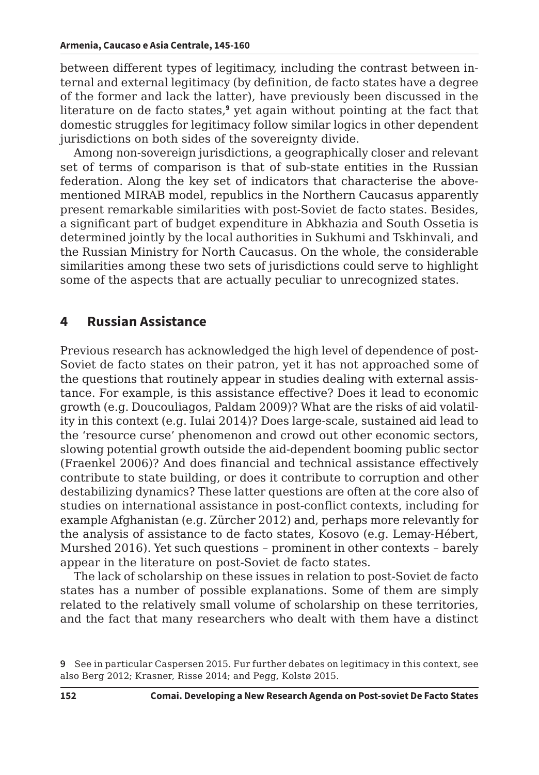between different types of legitimacy, including the contrast between internal and external legitimacy (by definition, de facto states have a degree of the former and lack the latter), have previously been discussed in the literature on de facto states,**<sup>9</sup>** yet again without pointing at the fact that domestic struggles for legitimacy follow similar logics in other dependent jurisdictions on both sides of the sovereignty divide.

Among non-sovereign jurisdictions, a geographically closer and relevant set of terms of comparison is that of sub-state entities in the Russian federation. Along the key set of indicators that characterise the abovementioned MIRAB model, republics in the Northern Caucasus apparently present remarkable similarities with post-Soviet de facto states. Besides, a significant part of budget expenditure in Abkhazia and South Ossetia is determined jointly by the local authorities in Sukhumi and Tskhinvali, and the Russian Ministry for North Caucasus. On the whole, the considerable similarities among these two sets of jurisdictions could serve to highlight some of the aspects that are actually peculiar to unrecognized states.

### **4 Russian Assistance**

Previous research has acknowledged the high level of dependence of post-Soviet de facto states on their patron, yet it has not approached some of the questions that routinely appear in studies dealing with external assistance. For example, is this assistance effective? Does it lead to economic growth (e.g. Doucouliagos, Paldam 2009)? What are the risks of aid volatility in this context (e.g. Iulai 2014)? Does large-scale, sustained aid lead to the 'resource curse' phenomenon and crowd out other economic sectors, slowing potential growth outside the aid-dependent booming public sector (Fraenkel 2006)? And does financial and technical assistance effectively contribute to state building, or does it contribute to corruption and other destabilizing dynamics? These latter questions are often at the core also of studies on international assistance in post-conflict contexts, including for example Afghanistan (e.g. Zürcher 2012) and, perhaps more relevantly for the analysis of assistance to de facto states, Kosovo (e.g. Lemay-Hébert, Murshed 2016). Yet such questions – prominent in other contexts – barely appear in the literature on post-Soviet de facto states.

The lack of scholarship on these issues in relation to post-Soviet de facto states has a number of possible explanations. Some of them are simply related to the relatively small volume of scholarship on these territories, and the fact that many researchers who dealt with them have a distinct

**<sup>9</sup>** See in particular Caspersen 2015. Fur further debates on legitimacy in this context, see also Berg 2012; Krasner, Risse 2014; and Pegg, Kolstø 2015.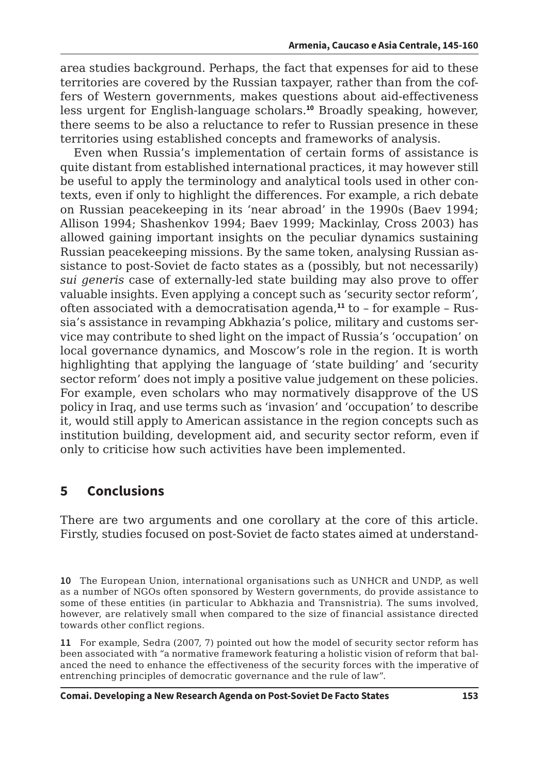area studies background. Perhaps, the fact that expenses for aid to these territories are covered by the Russian taxpayer, rather than from the coffers of Western governments, makes questions about aid-effectiveness less urgent for English-language scholars.**<sup>10</sup>** Broadly speaking, however, there seems to be also a reluctance to refer to Russian presence in these territories using established concepts and frameworks of analysis.

Even when Russia's implementation of certain forms of assistance is quite distant from established international practices, it may however still be useful to apply the terminology and analytical tools used in other contexts, even if only to highlight the differences. For example, a rich debate on Russian peacekeeping in its 'near abroad' in the 1990s (Baev 1994; Allison 1994; Shashenkov 1994; Baev 1999; Mackinlay, Cross 2003) has allowed gaining important insights on the peculiar dynamics sustaining Russian peacekeeping missions. By the same token, analysing Russian assistance to post-Soviet de facto states as a (possibly, but not necessarily) *sui generis* case of externally-led state building may also prove to offer valuable insights. Even applying a concept such as 'security sector reform', often associated with a democratisation agenda,**<sup>11</sup>** to – for example – Russia's assistance in revamping Abkhazia's police, military and customs service may contribute to shed light on the impact of Russia's 'occupation' on local governance dynamics, and Moscow's role in the region. It is worth highlighting that applying the language of 'state building' and 'security sector reform' does not imply a positive value judgement on these policies. For example, even scholars who may normatively disapprove of the US policy in Iraq, and use terms such as 'invasion' and 'occupation' to describe it, would still apply to American assistance in the region concepts such as institution building, development aid, and security sector reform, even if only to criticise how such activities have been implemented.

## **5 Conclusions**

There are two arguments and one corollary at the core of this article. Firstly, studies focused on post-Soviet de facto states aimed at understand-

**11** For example, Sedra (2007, 7) pointed out how the model of security sector reform has been associated with "a normative framework featuring a holistic vision of reform that balanced the need to enhance the effectiveness of the security forces with the imperative of entrenching principles of democratic governance and the rule of law".

**<sup>10</sup>** The European Union, international organisations such as UNHCR and UNDP, as well as a number of NGOs often sponsored by Western governments, do provide assistance to some of these entities (in particular to Abkhazia and Transnistria). The sums involved, however, are relatively small when compared to the size of financial assistance directed towards other conflict regions.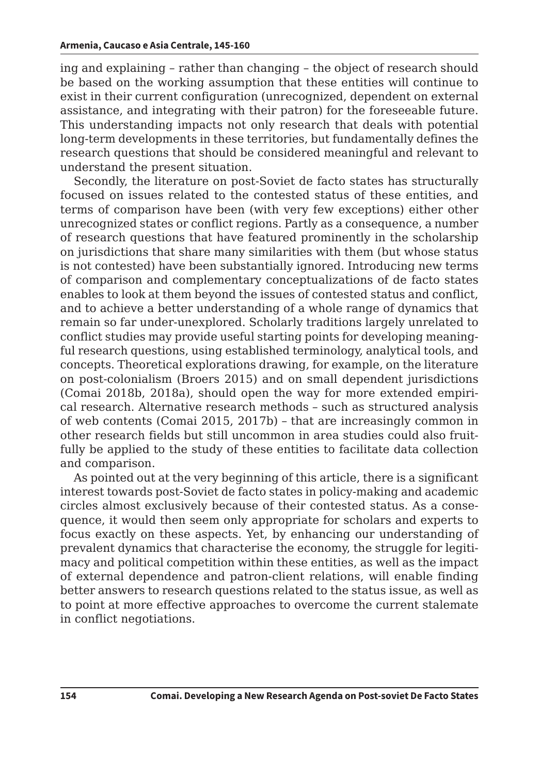ing and explaining – rather than changing – the object of research should be based on the working assumption that these entities will continue to exist in their current configuration (unrecognized, dependent on external assistance, and integrating with their patron) for the foreseeable future. This understanding impacts not only research that deals with potential long-term developments in these territories, but fundamentally defines the research questions that should be considered meaningful and relevant to understand the present situation.

Secondly, the literature on post-Soviet de facto states has structurally focused on issues related to the contested status of these entities, and terms of comparison have been (with very few exceptions) either other unrecognized states or conflict regions. Partly as a consequence, a number of research questions that have featured prominently in the scholarship on jurisdictions that share many similarities with them (but whose status is not contested) have been substantially ignored. Introducing new terms of comparison and complementary conceptualizations of de facto states enables to look at them beyond the issues of contested status and conflict, and to achieve a better understanding of a whole range of dynamics that remain so far under-unexplored. Scholarly traditions largely unrelated to conflict studies may provide useful starting points for developing meaningful research questions, using established terminology, analytical tools, and concepts. Theoretical explorations drawing, for example, on the literature on post-colonialism (Broers 2015) and on small dependent jurisdictions (Comai 2018b, 2018a), should open the way for more extended empirical research. Alternative research methods – such as structured analysis of web contents (Comai 2015, 2017b) – that are increasingly common in other research fields but still uncommon in area studies could also fruitfully be applied to the study of these entities to facilitate data collection and comparison.

As pointed out at the very beginning of this article, there is a significant interest towards post-Soviet de facto states in policy-making and academic circles almost exclusively because of their contested status. As a consequence, it would then seem only appropriate for scholars and experts to focus exactly on these aspects. Yet, by enhancing our understanding of prevalent dynamics that characterise the economy, the struggle for legitimacy and political competition within these entities, as well as the impact of external dependence and patron-client relations, will enable finding better answers to research questions related to the status issue, as well as to point at more effective approaches to overcome the current stalemate in conflict negotiations.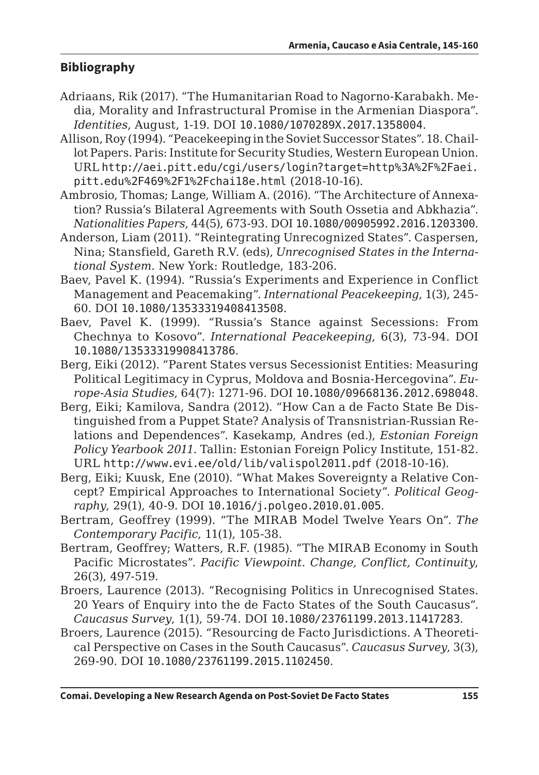#### **Bibliography**

- Adriaans, Rik (2017). "The Humanitarian Road to Nagorno-Karabakh. Media, Morality and Infrastructural Promise in the Armenian Diaspora". *Identities*, August, 1-19. DOI 10.1080/1070289X.2017.1358004.
- Allison, Roy (1994). "Peacekeeping in the Soviet Successor States". 18. Chaillot Papers. Paris: Institute for Security Studies, Western European Union. URL http://aei.pitt.edu/cgi/users/login?target=http%3A%2F%2Faei. pitt.edu%2F469%2F1%2Fchai18e.html (2018-10-16).
- Ambrosio, Thomas; Lange, William A. (2016). "The Architecture of Annexation? Russia's Bilateral Agreements with South Ossetia and Abkhazia". *Nationalities Papers*, 44(5), 673-93. DOI 10.1080/00905992.2016.1203300.
- Anderson, Liam (2011). "Reintegrating Unrecognized States". Caspersen, Nina; Stansfield, Gareth R.V. (eds), *Unrecognised States in the International System*. New York: Routledge, 183-206.
- Baev, Pavel K. (1994). "Russia's Experiments and Experience in Conflict Management and Peacemaking". *International Peacekeeping*, 1(3), 245- 60. DOI 10.1080/13533319408413508.
- Baev, Pavel K. (1999). "Russia's Stance against Secessions: From Chechnya to Kosovo". *International Peacekeeping*, 6(3), 73-94. DOI 10.1080/13533319908413786.
- Berg, Eiki (2012). "Parent States versus Secessionist Entities: Measuring Political Legitimacy in Cyprus, Moldova and Bosnia-Hercegovina". *Europe-Asia Studies*, 64(7): 1271-96. DOI 10.1080/09668136.2012.698048.
- Berg, Eiki; Kamilova, Sandra (2012). "How Can a de Facto State Be Distinguished from a Puppet State? Analysis of Transnistrian-Russian Relations and Dependences". Kasekamp, Andres (ed.), *Estonian Foreign Policy Yearbook 2011*. Tallin: Estonian Foreign Policy Institute, 151-82. URL http://www.evi.ee/old/lib/valispol2011.pdf (2018-10-16).
- Berg, Eiki; Kuusk, Ene (2010). "What Makes Sovereignty a Relative Concept? Empirical Approaches to International Society". *Political Geography*, 29(1), 40-9. DOI 10.1016/j.polgeo.2010.01.005.
- Bertram, Geoffrey (1999). "The MIRAB Model Twelve Years On". *The Contemporary Pacific*, 11(1), 105-38.
- Bertram, Geoffrey; Watters, R.F. (1985). "The MIRAB Economy in South Pacific Microstates". *Pacific Viewpoint. Change, Conflict, Continuity*, 26(3), 497-519.
- Broers, Laurence (2013). "Recognising Politics in Unrecognised States. 20 Years of Enquiry into the de Facto States of the South Caucasus". *Caucasus Survey*, 1(1), 59-74. DOI 10.1080/23761199.2013.11417283.
- Broers, Laurence (2015). "Resourcing de Facto Jurisdictions. A Theoretical Perspective on Cases in the South Caucasus". *Caucasus Survey*, 3(3), 269-90. DOI 10.1080/23761199.2015.1102450.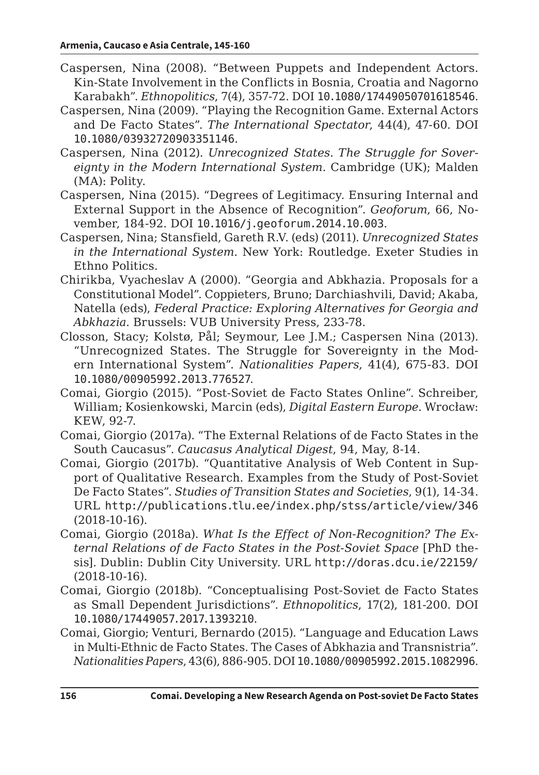- Caspersen, Nina (2008). "Between Puppets and Independent Actors. Kin-State Involvement in the Conflicts in Bosnia, Croatia and Nagorno Karabakh". *Ethnopolitics*, 7(4), 357-72. DOI 10.1080/17449050701618546.
- Caspersen, Nina (2009). "Playing the Recognition Game. External Actors and De Facto States". *The International Spectator*, 44(4), 47-60. DOI 10.1080/03932720903351146.
- Caspersen, Nina (2012). *Unrecognized States. The Struggle for Sovereignty in the Modern International System*. Cambridge (UK); Malden (MA): Polity.
- Caspersen, Nina (2015). "Degrees of Legitimacy. Ensuring Internal and External Support in the Absence of Recognition". *Geoforum*, 66, November, 184-92. DOI 10.1016/j.geoforum.2014.10.003.
- Caspersen, Nina; Stansfield, Gareth R.V. (eds) (2011). *Unrecognized States in the International System*. New York: Routledge. Exeter Studies in Ethno Politics.
- Chirikba, Vyacheslav A (2000). "Georgia and Abkhazia. Proposals for a Constitutional Model". Coppieters, Bruno; Darchiashvili, David; Akaba, Natella (eds), *Federal Practice: Exploring Alternatives for Georgia and Abkhazia*. Brussels: VUB University Press, 233-78.
- Closson, Stacy; Kolstø, Pål; Seymour, Lee J.M.; Caspersen Nina (2013). "Unrecognized States. The Struggle for Sovereignty in the Modern International System". *Nationalities Papers*, 41(4), 675-83. DOI 10.1080/00905992.2013.776527.
- Comai, Giorgio (2015). "Post-Soviet de Facto States Online". Schreiber, William; Kosienkowski, Marcin (eds), *Digital Eastern Europe*. Wrocław: KEW, 92-7.
- Comai, Giorgio (2017a). "The External Relations of de Facto States in the South Caucasus". *Caucasus Analytical Digest*, 94, May, 8-14.
- Comai, Giorgio (2017b). "Quantitative Analysis of Web Content in Support of Qualitative Research. Examples from the Study of Post-Soviet De Facto States". *Studies of Transition States and Societies*, 9(1), 14-34. URL http://publications.tlu.ee/index.php/stss/article/view/346 (2018-10-16).
- Comai, Giorgio (2018a). *What Is the Effect of Non-Recognition? The External Relations of de Facto States in the Post-Soviet Space* [PhD thesis]. Dublin: Dublin City University. URL http://doras.dcu.ie/22159/ (2018-10-16).
- Comai, Giorgio (2018b). "Conceptualising Post-Soviet de Facto States as Small Dependent Jurisdictions". *Ethnopolitics*, 17(2), 181-200. DOI 10.1080/17449057.2017.1393210.
- Comai, Giorgio; Venturi, Bernardo (2015). "Language and Education Laws in Multi-Ethnic de Facto States. The Cases of Abkhazia and Transnistria". *Nationalities Papers*, 43(6), 886-905. DOI 10.1080/00905992.2015.1082996.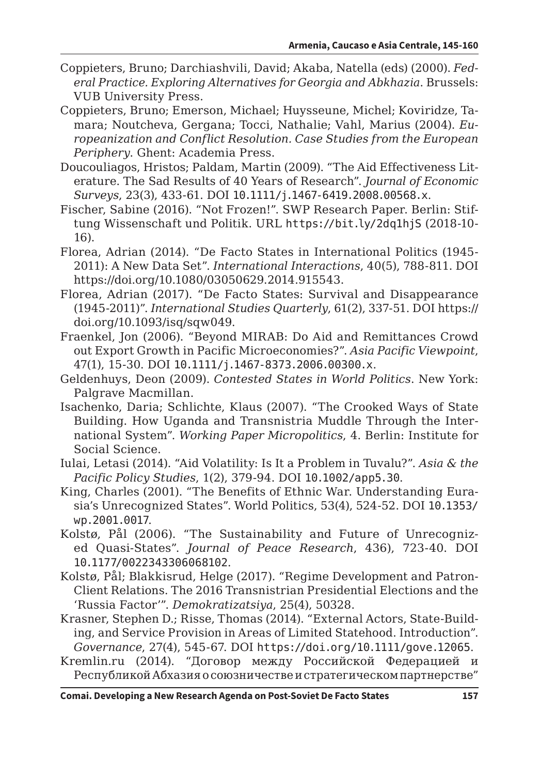- Coppieters, Bruno; Darchiashvili, David; Akaba, Natella (eds) (2000). *Federal Practice. Exploring Alternatives for Georgia and Abkhazia*. Brussels: VUB University Press.
- Coppieters, Bruno; Emerson, Michael; Huysseune, Michel; Koviridze, Tamara; Noutcheva, Gergana; Tocci, Nathalie; Vahl, Marius (2004). *Europeanization and Conflict Resolution. Case Studies from the European Periphery*. Ghent: Academia Press.
- Doucouliagos, Hristos; Paldam, Martin (2009). "The Aid Effectiveness Literature. The Sad Results of 40 Years of Research". *Journal of Economic Surveys*, 23(3), 433-61. DOI 10.1111/j.1467-6419.2008.00568.x.
- Fischer, Sabine (2016). "Not Frozen!". SWP Research Paper. Berlin: Stiftung Wissenschaft und Politik. URL https://bit.ly/2dq1hjS (2018-10- 16).
- Florea, Adrian (2014). "De Facto States in International Politics (1945- 2011): A New Data Set". *International Interactions*, 40(5), 788-811. DOI https://doi.org/10.1080/03050629.2014.915543.
- Florea, Adrian (2017). "De Facto States: Survival and Disappearance (1945-2011)". *International Studies Quarterly*, 61(2), 337-51. DOI https:// doi.org/10.1093/isq/sqw049.
- Fraenkel, Jon (2006). "Beyond MIRAB: Do Aid and Remittances Crowd out Export Growth in Pacific Microeconomies?". *Asia Pacific Viewpoint*, 47(1), 15-30. DOI 10.1111/j.1467-8373.2006.00300.x.
- Geldenhuys, Deon (2009). *Contested States in World Politics*. New York: Palgrave Macmillan.
- Isachenko, Daria; Schlichte, Klaus (2007). "The Crooked Ways of State Building. How Uganda and Transnistria Muddle Through the International System". *Working Paper Micropolitics*, 4. Berlin: Institute for Social Science.
- Iulai, Letasi (2014). "Aid Volatility: Is It a Problem in Tuvalu?". *Asia & the Pacific Policy Studies*, 1(2), 379-94. DOI 10.1002/app5.30.
- King, Charles (2001). "The Benefits of Ethnic War. Understanding Eurasia's Unrecognized States". World Politics, 53(4), 524-52. DOI 10.1353/ wp.2001.0017.
- Kolstø, Pål (2006). "The Sustainability and Future of Unrecognized Quasi-States". *Journal of Peace Research*, 436), 723-40. DOI 10.1177/0022343306068102.
- Kolstø, Pål; Blakkisrud, Helge (2017). "Regime Development and Patron-Client Relations. The 2016 Transnistrian Presidential Elections and the 'Russia Factor'". *Demokratizatsiya*, 25(4), 50328.
- Krasner, Stephen D.; Risse, Thomas (2014). "External Actors, State-Building, and Service Provision in Areas of Limited Statehood. Introduction". *Governance*, 27(4), 545-67. DOI https://doi.org/10.1111/gove.12065.
- Kremlin.ru (2014). "Договор между Российской Федерацией и Республикой Абхазия о союзничестве и стратегическом партнерстве"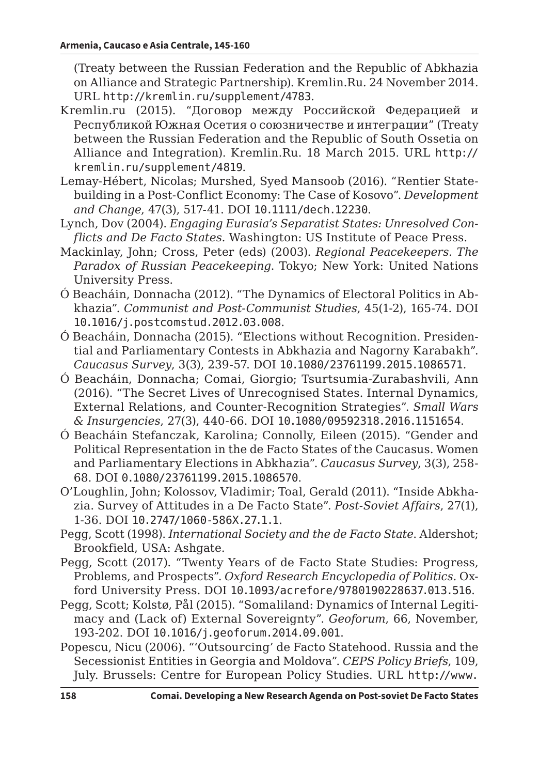(Treaty between the Russian Federation and the Republic of Abkhazia on Alliance and Strategic Partnership). Kremlin.Ru. 24 November 2014. URL http://kremlin.ru/supplement/4783.

- Kremlin.ru (2015). "Договор между Российской Федерацией и Республикой Южная Осетия о союзничестве и интеграции" (Treaty between the Russian Federation and the Republic of South Ossetia on Alliance and Integration). Kremlin.Ru. 18 March 2015. URL http:// kremlin.ru/supplement/4819.
- Lemay-Hébert, Nicolas; Murshed, Syed Mansoob (2016). "Rentier Statebuilding in a Post-Conflict Economy: The Case of Kosovo". *Development and Change*, 47(3), 517-41. DOI 10.1111/dech.12230.
- Lynch, Dov (2004). *Engaging Eurasia's Separatist States: Unresolved Conflicts and De Facto States*. Washington: US Institute of Peace Press.
- Mackinlay, John; Cross, Peter (eds) (2003). *Regional Peacekeepers. The Paradox of Russian Peacekeeping*. Tokyo; New York: United Nations University Press.
- Ó Beacháin, Donnacha (2012). "The Dynamics of Electoral Politics in Abkhazia". *Communist and Post-Communist Studies*, 45(1-2), 165-74. DOI 10.1016/j.postcomstud.2012.03.008.
- Ó Beacháin, Donnacha (2015). "Elections without Recognition. Presidential and Parliamentary Contests in Abkhazia and Nagorny Karabakh". *Caucasus Survey*, 3(3), 239-57. DOI 10.1080/23761199.2015.1086571.
- Ó Beacháin, Donnacha; Comai, Giorgio; Tsurtsumia-Zurabashvili, Ann (2016). "The Secret Lives of Unrecognised States. Internal Dynamics, External Relations, and Counter-Recognition Strategies". *Small Wars & Insurgencies*, 27(3), 440-66. DOI 10.1080/09592318.2016.1151654.
- Ó Beacháin Stefanczak, Karolina; Connolly, Eileen (2015). "Gender and Political Representation in the de Facto States of the Caucasus. Women and Parliamentary Elections in Abkhazia". *Caucasus Survey*, 3(3), 258- 68. DOI 0.1080/23761199.2015.1086570.
- O'Loughlin, John; Kolossov, Vladimir; Toal, Gerald (2011). "Inside Abkhazia. Survey of Attitudes in a De Facto State". *Post-Soviet Affairs*, 27(1), 1-36. DOI 10.2747/1060-586X.27.1.1.
- Pegg, Scott (1998). *International Society and the de Facto State*. Aldershot; Brookfield, USA: Ashgate.
- Pegg, Scott (2017). "Twenty Years of de Facto State Studies: Progress, Problems, and Prospects". *Oxford Research Encyclopedia of Politics*. Oxford University Press. DOI 10.1093/acrefore/9780190228637.013.516.
- Pegg, Scott; Kolstø, Pål (2015). "Somaliland: Dynamics of Internal Legitimacy and (Lack of) External Sovereignty". *Geoforum*, 66, November, 193-202. DOI 10.1016/j.geoforum.2014.09.001.
- Popescu, Nicu (2006). "'Outsourcing' de Facto Statehood. Russia and the Secessionist Entities in Georgia and Moldova". *CEPS Policy Briefs*, 109, July. Brussels: Centre for European Policy Studies. URL http://www.